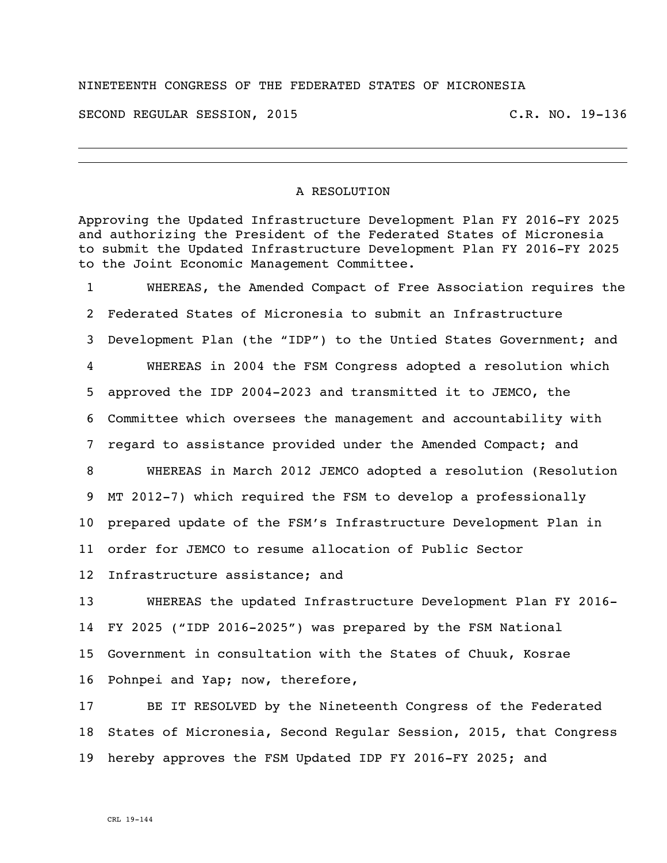## NINETEENTH CONGRESS OF THE FEDERATED STATES OF MICRONESIA

SECOND REGULAR SESSION, 2015 C.R. NO. 19-136

## A RESOLUTION

Approving the Updated Infrastructure Development Plan FY 2016-FY 2025 and authorizing the President of the Federated States of Micronesia to submit the Updated Infrastructure Development Plan FY 2016-FY 2025 to the Joint Economic Management Committee.

 WHEREAS, the Amended Compact of Free Association requires the Federated States of Micronesia to submit an Infrastructure Development Plan (the "IDP") to the Untied States Government; and WHEREAS in 2004 the FSM Congress adopted a resolution which approved the IDP 2004-2023 and transmitted it to JEMCO, the Committee which oversees the management and accountability with regard to assistance provided under the Amended Compact; and WHEREAS in March 2012 JEMCO adopted a resolution (Resolution MT 2012-7) which required the FSM to develop a professionally prepared update of the FSM's Infrastructure Development Plan in order for JEMCO to resume allocation of Public Sector Infrastructure assistance; and WHEREAS the updated Infrastructure Development Plan FY 2016- FY 2025 ("IDP 2016-2025") was prepared by the FSM National

 Government in consultation with the States of Chuuk, Kosrae Pohnpei and Yap; now, therefore,

 BE IT RESOLVED by the Nineteenth Congress of the Federated States of Micronesia, Second Regular Session, 2015, that Congress hereby approves the FSM Updated IDP FY 2016-FY 2025; and